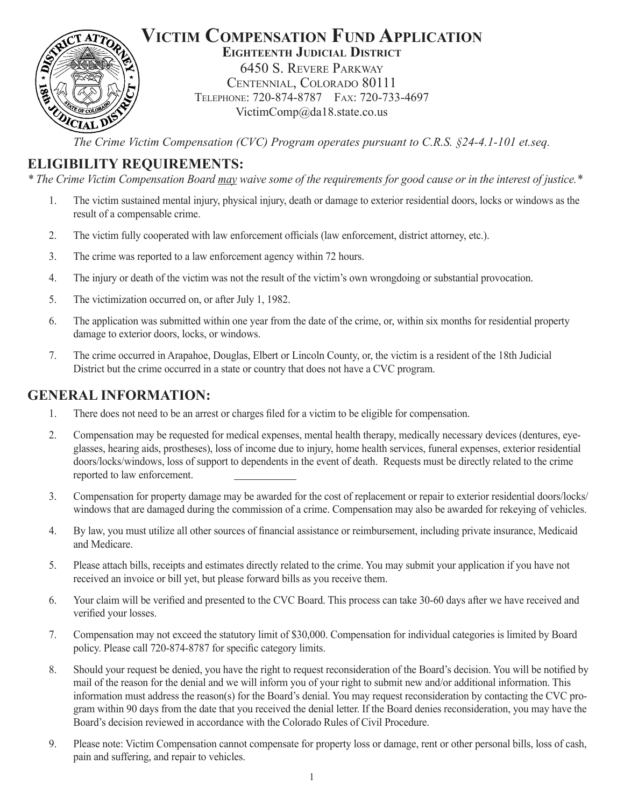

### **Victim Compensation Fund Application Eighteenth Judicial District**

6450 S. Revere Parkway Centennial, Colorado 80111 Telephone: 720-874-8787 Fax: 720-733-4697 VictimComp@da18.state.co.us

*The Crime Victim Compensation (CVC) Program operates pursuant to C.R.S. §24-4.1-101 et.seq.*

# **ELIGIBILITY REQUIREMENTS:**

*\* The Crime Victim Compensation Board may waive some of the requirements for good cause or in the interest of justice.\**

- 1. The victim sustained mental injury, physical injury, death or damage to exterior residential doors, locks or windows as the result of a compensable crime.
- 2. The victim fully cooperated with law enforcement officials (law enforcement, district attorney, etc.).
- 3. The crime was reported to a law enforcement agency within 72 hours.
- 4. The injury or death of the victim was not the result of the victim's own wrongdoing or substantial provocation.
- 5. The victimization occurred on, or after July 1, 1982.
- 6. The application was submitted within one year from the date of the crime, or, within six months for residential property damage to exterior doors, locks, or windows.
- 7. The crime occurred in Arapahoe, Douglas, Elbert or Lincoln County, or, the victim is a resident of the 18th Judicial District but the crime occurred in a state or country that does not have a CVC program.

## **GENERAL INFORMATION:**

- 1. There does not need to be an arrest or charges filed for a victim to be eligible for compensation.
- 2. Compensation may be requested for medical expenses, mental health therapy, medically necessary devices (dentures, eyeglasses, hearing aids, prostheses), loss of income due to injury, home health services, funeral expenses, exterior residential doors/locks/windows, loss of support to dependents in the event of death. Requests must be directly related to the crime reported to law enforcement.
- 3. Compensation for property damage may be awarded for the cost of replacement or repair to exterior residential doors/locks/ windows that are damaged during the commission of a crime. Compensation may also be awarded for rekeying of vehicles.
- 4. By law, you must utilize all other sources of financial assistance or reimbursement, including private insurance, Medicaid and Medicare.
- 5. Please attach bills, receipts and estimates directly related to the crime. You may submit your application if you have not received an invoice or bill yet, but please forward bills as you receive them.
- 6. Your claim will be verified and presented to the CVC Board. This process can take 30-60 days after we have received and verified your losses.
- 7. Compensation may not exceed the statutory limit of \$30,000. Compensation for individual categories is limited by Board policy. Please call 720-874-8787 for specific category limits.
- 8. Should your request be denied, you have the right to request reconsideration of the Board's decision. You will be notified by mail of the reason for the denial and we will inform you of your right to submit new and/or additional information. This information must address the reason(s) for the Board's denial. You may request reconsideration by contacting the CVC program within 90 days from the date that you received the denial letter. If the Board denies reconsideration, you may have the Board's decision reviewed in accordance with the Colorado Rules of Civil Procedure.
- 9. Please note: Victim Compensation cannot compensate for property loss or damage, rent or other personal bills, loss of cash, pain and suffering, and repair to vehicles.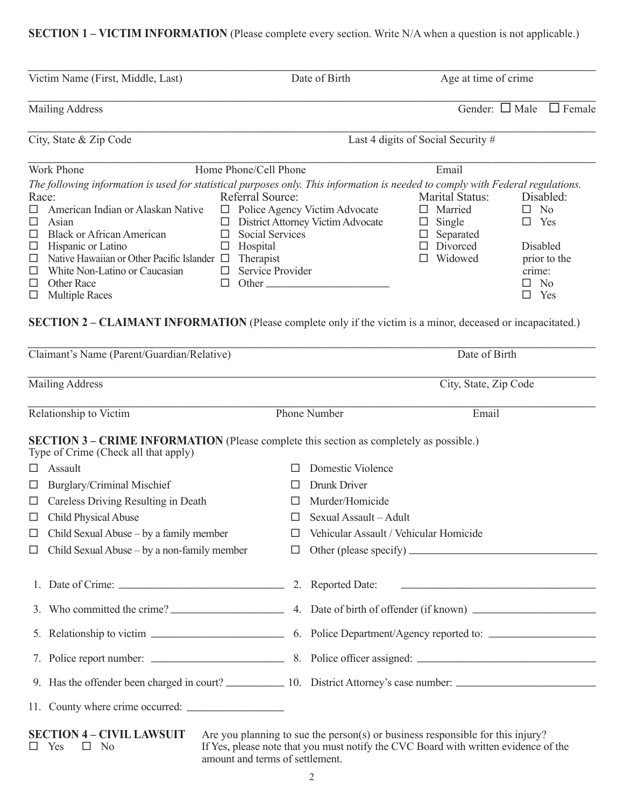## **SECTION 1 – VICTIM INFORMATION** (Please complete every section. Write N/A when a question is not applicable.)

|                                                                                                                                                                                                                                                                                                                                                                                                                                                                                                                                                                                                    |                                                                                         | Date of Birth                                                                               |                                    | Age at time of crime                                                            |                                                                                                                       |
|----------------------------------------------------------------------------------------------------------------------------------------------------------------------------------------------------------------------------------------------------------------------------------------------------------------------------------------------------------------------------------------------------------------------------------------------------------------------------------------------------------------------------------------------------------------------------------------------------|-----------------------------------------------------------------------------------------|---------------------------------------------------------------------------------------------|------------------------------------|---------------------------------------------------------------------------------|-----------------------------------------------------------------------------------------------------------------------|
| <b>Mailing Address</b>                                                                                                                                                                                                                                                                                                                                                                                                                                                                                                                                                                             |                                                                                         |                                                                                             |                                    |                                                                                 | Gender: $\Box$ Male $\Box$ Female                                                                                     |
| City, State & Zip Code                                                                                                                                                                                                                                                                                                                                                                                                                                                                                                                                                                             |                                                                                         |                                                                                             | Last 4 digits of Social Security # |                                                                                 |                                                                                                                       |
| Work Phone                                                                                                                                                                                                                                                                                                                                                                                                                                                                                                                                                                                         | Home Phone/Cell Phone                                                                   |                                                                                             |                                    | Email                                                                           |                                                                                                                       |
| The following information is used for statistical purposes only. This information is needed to comply with Federal regulations.<br>Race:<br>American Indian or Alaskan Native<br>$\Box$<br>□<br>Asian<br><b>Black or African American</b><br>$\Box$<br>$\Box$<br>Hispanic or Latino<br>$\Box$<br>$\Box$<br>Native Hawaiian or Other Pacific Islander $\Box$<br>$\Box$<br>$\Box$<br>White Non-Latino or Caucasian<br>□<br><b>Other Race</b><br>□<br>$\Box$<br><b>Multiple Races</b><br>SECTION 2 - CLAIMANT INFORMATION (Please complete only if the victim is a minor, deceased or incapacitated.) | Referral Source:<br><b>Social Services</b><br>Hospital<br>Therapist<br>Service Provider | $\Box$ Police Agency Victim Advocate<br>□ District Attorney Victim Advocate<br>$\Box$ Other | $\Box$ Married<br>$\Box$ Single    | <b>Marital Status:</b><br>$\Box$ Separated<br>$\Box$ Divorced<br>$\Box$ Widowed | Disabled:<br>$\square$ No<br>$\Box$ Yes<br>Disabled<br>prior to the<br>crime:<br>$\square$ No<br>$\Box$ Yes           |
| Claimant's Name (Parent/Guardian/Relative)                                                                                                                                                                                                                                                                                                                                                                                                                                                                                                                                                         |                                                                                         |                                                                                             |                                    | Date of Birth                                                                   |                                                                                                                       |
| <b>Mailing Address</b>                                                                                                                                                                                                                                                                                                                                                                                                                                                                                                                                                                             |                                                                                         |                                                                                             |                                    | City, State, Zip Code                                                           |                                                                                                                       |
| Relationship to Victim                                                                                                                                                                                                                                                                                                                                                                                                                                                                                                                                                                             |                                                                                         | <b>Phone Number</b>                                                                         |                                    | Email                                                                           |                                                                                                                       |
| SECTION 3 - CRIME INFORMATION (Please complete this section as completely as possible.)<br>Type of Crime (Check all that apply)                                                                                                                                                                                                                                                                                                                                                                                                                                                                    |                                                                                         |                                                                                             |                                    |                                                                                 |                                                                                                                       |
| Assault<br>$\Box$                                                                                                                                                                                                                                                                                                                                                                                                                                                                                                                                                                                  | $\Box$                                                                                  | Domestic Violence                                                                           |                                    |                                                                                 |                                                                                                                       |
|                                                                                                                                                                                                                                                                                                                                                                                                                                                                                                                                                                                                    |                                                                                         |                                                                                             |                                    |                                                                                 |                                                                                                                       |
| <b>Burglary/Criminal Mischief</b><br>ш                                                                                                                                                                                                                                                                                                                                                                                                                                                                                                                                                             | ப                                                                                       | Drunk Driver                                                                                |                                    |                                                                                 |                                                                                                                       |
| Careless Driving Resulting in Death<br>ப                                                                                                                                                                                                                                                                                                                                                                                                                                                                                                                                                           |                                                                                         | Murder/Homicide                                                                             |                                    |                                                                                 |                                                                                                                       |
| <b>Child Physical Abuse</b><br>□                                                                                                                                                                                                                                                                                                                                                                                                                                                                                                                                                                   | П                                                                                       | Sexual Assault - Adult                                                                      |                                    |                                                                                 |                                                                                                                       |
| Child Sexual Abuse – by a family member<br>ப                                                                                                                                                                                                                                                                                                                                                                                                                                                                                                                                                       | ப                                                                                       | Vehicular Assault / Vehicular Homicide                                                      |                                    |                                                                                 |                                                                                                                       |
| Child Sexual Abuse – by a non-family member<br>ப                                                                                                                                                                                                                                                                                                                                                                                                                                                                                                                                                   | $\Box$                                                                                  |                                                                                             |                                    |                                                                                 | Other (please specify)                                                                                                |
|                                                                                                                                                                                                                                                                                                                                                                                                                                                                                                                                                                                                    |                                                                                         |                                                                                             |                                    |                                                                                 |                                                                                                                       |
|                                                                                                                                                                                                                                                                                                                                                                                                                                                                                                                                                                                                    |                                                                                         |                                                                                             |                                    |                                                                                 |                                                                                                                       |
|                                                                                                                                                                                                                                                                                                                                                                                                                                                                                                                                                                                                    |                                                                                         |                                                                                             |                                    |                                                                                 | <u> 1980 - Johann Stoff, deutscher Stoff, der Stoff, der Stoff, der Stoff, der Stoff, der Stoff, der Stoff, der S</u> |
|                                                                                                                                                                                                                                                                                                                                                                                                                                                                                                                                                                                                    |                                                                                         |                                                                                             |                                    |                                                                                 |                                                                                                                       |
|                                                                                                                                                                                                                                                                                                                                                                                                                                                                                                                                                                                                    |                                                                                         |                                                                                             |                                    |                                                                                 |                                                                                                                       |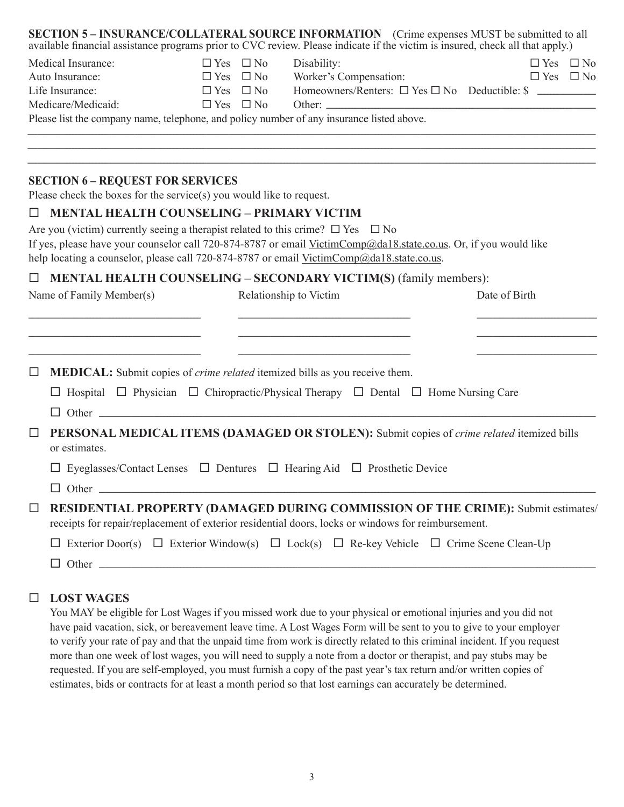| Medical Insurance:                                                                                                     | $\Box$ Yes $\Box$ No | Disability:                                                                                                                                                                                                       | $\Box$ Yes $\Box$ No |  |
|------------------------------------------------------------------------------------------------------------------------|----------------------|-------------------------------------------------------------------------------------------------------------------------------------------------------------------------------------------------------------------|----------------------|--|
| Auto Insurance:                                                                                                        | $\Box$ Yes $\Box$ No | Worker's Compensation:                                                                                                                                                                                            | $\Box$ Yes $\Box$ No |  |
| Life Insurance:                                                                                                        | $\Box$ Yes $\Box$ No | Homeowners/Renters: $\Box$ Yes $\Box$ No Deductible: $\$\ \_\_\_\_\_\_\_\_\_\_$                                                                                                                                   |                      |  |
| Medicare/Medicaid:                                                                                                     | $\Box$ Yes $\Box$ No |                                                                                                                                                                                                                   |                      |  |
|                                                                                                                        |                      | Please list the company name, telephone, and policy number of any insurance listed above.                                                                                                                         |                      |  |
|                                                                                                                        |                      |                                                                                                                                                                                                                   |                      |  |
| <b>SECTION 6 - REQUEST FOR SERVICES</b><br>Please check the boxes for the service(s) you would like to request.        |                      |                                                                                                                                                                                                                   |                      |  |
| <b>MENTAL HEALTH COUNSELING - PRIMARY VICTIM</b>                                                                       |                      |                                                                                                                                                                                                                   |                      |  |
|                                                                                                                        |                      | Are you (victim) currently seeing a therapist related to this crime? $\square$ Yes $\square$ No                                                                                                                   |                      |  |
|                                                                                                                        |                      | If yes, please have your counselor call 720-874-8787 or email VictimComp@da18.state.co.us. Or, if you would like                                                                                                  |                      |  |
|                                                                                                                        |                      | help locating a counselor, please call 720-874-8787 or email VictimComp@da18.state.co.us.                                                                                                                         |                      |  |
|                                                                                                                        |                      |                                                                                                                                                                                                                   |                      |  |
|                                                                                                                        |                      | <b>MENTAL HEALTH COUNSELING – SECONDARY VICTIM(S) (family members):</b>                                                                                                                                           |                      |  |
| Name of Family Member(s)                                                                                               |                      | Relationship to Victim                                                                                                                                                                                            | Date of Birth        |  |
|                                                                                                                        |                      |                                                                                                                                                                                                                   |                      |  |
|                                                                                                                        |                      |                                                                                                                                                                                                                   |                      |  |
| <u> 1989 - Johann John Stone, market fan it ferskearre fan it ferskearre fan it ferskearre fan it ferskearre fan i</u> |                      | <u> 1989 - Johann John Stein, mars an deus Amerikaansk kommunister (</u>                                                                                                                                          |                      |  |
| □                                                                                                                      |                      | <u> 1989 - Johann Barn, mars eta bainar eta bainar eta baina eta baina eta baina eta baina eta baina eta baina e</u><br><b>MEDICAL:</b> Submit copies of <i>crime related</i> itemized bills as you receive them. |                      |  |
|                                                                                                                        |                      | $\Box$ Hospital $\Box$ Physician $\Box$ Chiropractic/Physical Therapy $\Box$ Dental $\Box$ Home Nursing Care                                                                                                      |                      |  |
|                                                                                                                        |                      |                                                                                                                                                                                                                   |                      |  |
| □<br>or estimates.                                                                                                     |                      | $\Box$ Other<br>PERSONAL MEDICAL ITEMS (DAMAGED OR STOLEN): Submit copies of crime related itemized bills                                                                                                         |                      |  |
|                                                                                                                        |                      | $\Box$ Eyeglasses/Contact Lenses $\Box$ Dentures $\Box$ Hearing Aid $\Box$ Prosthetic Device                                                                                                                      |                      |  |
|                                                                                                                        |                      |                                                                                                                                                                                                                   |                      |  |
|                                                                                                                        |                      | RESIDENTIAL PROPERTY (DAMAGED DURING COMMISSION OF THE CRIME): Submit estimates/<br>receipts for repair/replacement of exterior residential doors, locks or windows for reimbursement.                            |                      |  |
|                                                                                                                        |                      | $\Box$ Exterior Door(s) $\Box$ Exterior Window(s) $\Box$ Lock(s) $\Box$ Re-key Vehicle $\Box$ Crime Scene Clean-Up                                                                                                |                      |  |

#### **LOST WAGES**

You MAY be eligible for Lost Wages if you missed work due to your physical or emotional injuries and you did not have paid vacation, sick, or bereavement leave time. A Lost Wages Form will be sent to you to give to your employer to verify your rate of pay and that the unpaid time from work is directly related to this criminal incident. If you request more than one week of lost wages, you will need to supply a note from a doctor or therapist, and pay stubs may be requested. If you are self-employed, you must furnish a copy of the past year's tax return and/or written copies of estimates, bids or contracts for at least a month period so that lost earnings can accurately be determined.